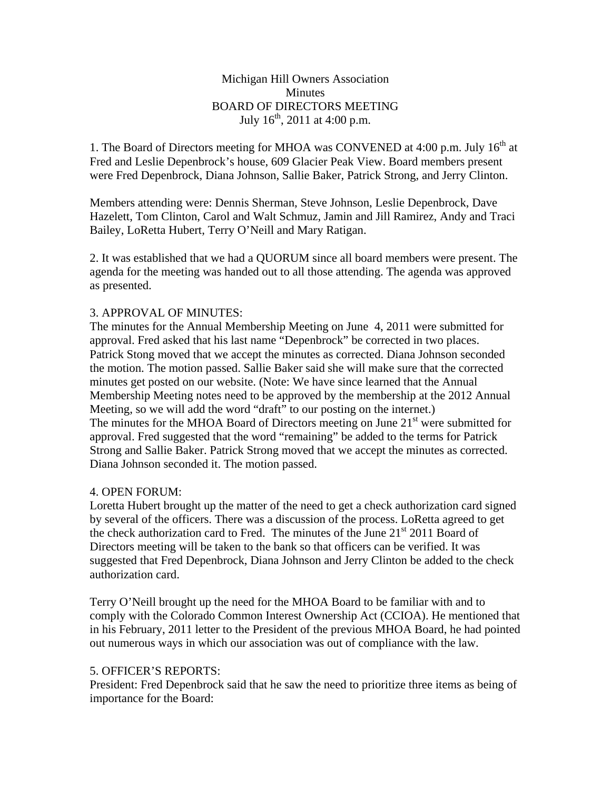## Michigan Hill Owners Association **Minutes** BOARD OF DIRECTORS MEETING July  $16^{th}$ , 2011 at 4:00 p.m.

1. The Board of Directors meeting for MHOA was CONVENED at 4:00 p.m. July 16<sup>th</sup> at Fred and Leslie Depenbrock's house, 609 Glacier Peak View. Board members present were Fred Depenbrock, Diana Johnson, Sallie Baker, Patrick Strong, and Jerry Clinton.

Members attending were: Dennis Sherman, Steve Johnson, Leslie Depenbrock, Dave Hazelett, Tom Clinton, Carol and Walt Schmuz, Jamin and Jill Ramirez, Andy and Traci Bailey, LoRetta Hubert, Terry O'Neill and Mary Ratigan.

2. It was established that we had a QUORUM since all board members were present. The agenda for the meeting was handed out to all those attending. The agenda was approved as presented.

### 3. APPROVAL OF MINUTES:

The minutes for the Annual Membership Meeting on June 4, 2011 were submitted for approval. Fred asked that his last name "Depenbrock" be corrected in two places. Patrick Stong moved that we accept the minutes as corrected. Diana Johnson seconded the motion. The motion passed. Sallie Baker said she will make sure that the corrected minutes get posted on our website. (Note: We have since learned that the Annual Membership Meeting notes need to be approved by the membership at the 2012 Annual Meeting, so we will add the word "draft" to our posting on the internet.) The minutes for the MHOA Board of Directors meeting on June  $21<sup>st</sup>$  were submitted for approval. Fred suggested that the word "remaining" be added to the terms for Patrick Strong and Sallie Baker. Patrick Strong moved that we accept the minutes as corrected. Diana Johnson seconded it. The motion passed.

### 4. OPEN FORUM:

Loretta Hubert brought up the matter of the need to get a check authorization card signed by several of the officers. There was a discussion of the process. LoRetta agreed to get the check authorization card to Fred. The minutes of the June  $21<sup>st</sup> 2011$  Board of Directors meeting will be taken to the bank so that officers can be verified. It was suggested that Fred Depenbrock, Diana Johnson and Jerry Clinton be added to the check authorization card.

Terry O'Neill brought up the need for the MHOA Board to be familiar with and to comply with the Colorado Common Interest Ownership Act (CCIOA). He mentioned that in his February, 2011 letter to the President of the previous MHOA Board, he had pointed out numerous ways in which our association was out of compliance with the law.

### 5. OFFICER'S REPORTS:

President: Fred Depenbrock said that he saw the need to prioritize three items as being of importance for the Board: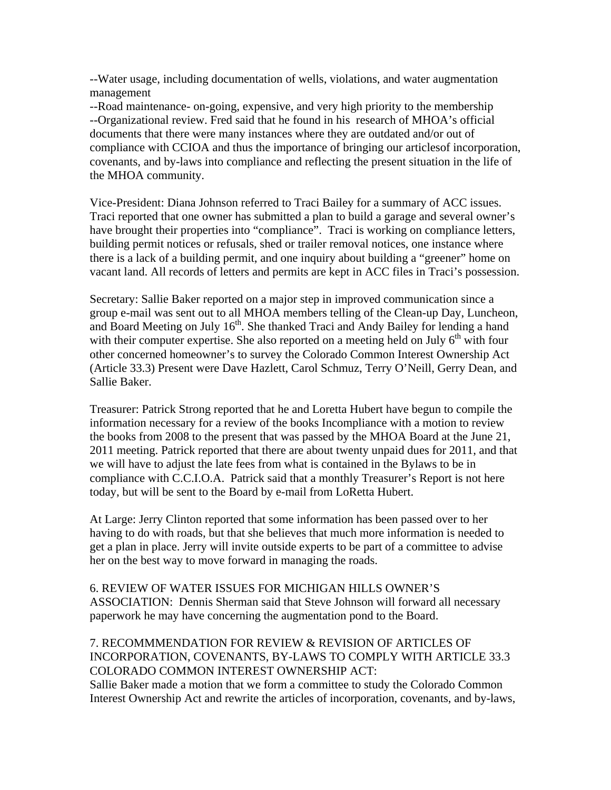--Water usage, including documentation of wells, violations, and water augmentation management

--Road maintenance- on-going, expensive, and very high priority to the membership --Organizational review. Fred said that he found in his research of MHOA's official documents that there were many instances where they are outdated and/or out of compliance with CCIOA and thus the importance of bringing our articlesof incorporation, covenants, and by-laws into compliance and reflecting the present situation in the life of the MHOA community.

Vice-President: Diana Johnson referred to Traci Bailey for a summary of ACC issues. Traci reported that one owner has submitted a plan to build a garage and several owner's have brought their properties into "compliance". Traci is working on compliance letters, building permit notices or refusals, shed or trailer removal notices, one instance where there is a lack of a building permit, and one inquiry about building a "greener" home on vacant land. All records of letters and permits are kept in ACC files in Traci's possession.

Secretary: Sallie Baker reported on a major step in improved communication since a group e-mail was sent out to all MHOA members telling of the Clean-up Day, Luncheon, and Board Meeting on July  $16<sup>th</sup>$ . She thanked Traci and Andy Bailey for lending a hand with their computer expertise. She also reported on a meeting held on July  $6<sup>th</sup>$  with four other concerned homeowner's to survey the Colorado Common Interest Ownership Act (Article 33.3) Present were Dave Hazlett, Carol Schmuz, Terry O'Neill, Gerry Dean, and Sallie Baker.

Treasurer: Patrick Strong reported that he and Loretta Hubert have begun to compile the information necessary for a review of the books Incompliance with a motion to review the books from 2008 to the present that was passed by the MHOA Board at the June 21, 2011 meeting. Patrick reported that there are about twenty unpaid dues for 2011, and that we will have to adjust the late fees from what is contained in the Bylaws to be in compliance with C.C.I.O.A. Patrick said that a monthly Treasurer's Report is not here today, but will be sent to the Board by e-mail from LoRetta Hubert.

At Large: Jerry Clinton reported that some information has been passed over to her having to do with roads, but that she believes that much more information is needed to get a plan in place. Jerry will invite outside experts to be part of a committee to advise her on the best way to move forward in managing the roads.

6. REVIEW OF WATER ISSUES FOR MICHIGAN HILLS OWNER'S ASSOCIATION: Dennis Sherman said that Steve Johnson will forward all necessary paperwork he may have concerning the augmentation pond to the Board.

# 7. RECOMMMENDATION FOR REVIEW & REVISION OF ARTICLES OF INCORPORATION, COVENANTS, BY-LAWS TO COMPLY WITH ARTICLE 33.3 COLORADO COMMON INTEREST OWNERSHIP ACT:

Sallie Baker made a motion that we form a committee to study the Colorado Common Interest Ownership Act and rewrite the articles of incorporation, covenants, and by-laws,